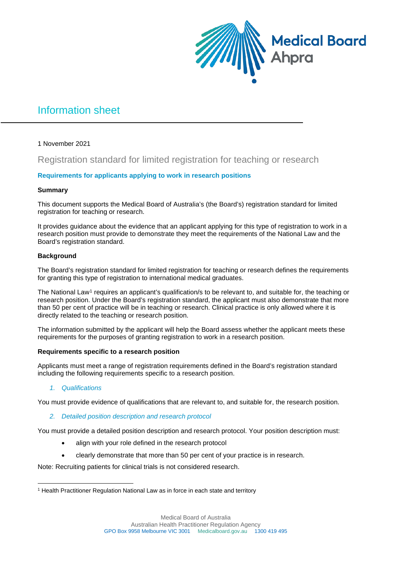

# Information sheet

## 1 November 2021

## Registration standard for limited registration for teaching or research

## **Requirements for applicants applying to work in research positions**

## **Summary**

This document supports the Medical Board of Australia's (the Board's) registration standard for limited registration for teaching or research.

It provides guidance about the evidence that an applicant applying for this type of registration to work in a research position must provide to demonstrate they meet the requirements of the National Law and the Board's registration standard.

#### **Background**

The Board's registration standard for limited registration for teaching or research defines the requirements for granting this type of registration to international medical graduates.

The National Law[1](#page-0-0) requires an applicant's qualification/s to be relevant to, and suitable for, the teaching or research position. Under the Board's registration standard, the applicant must also demonstrate that more than 50 per cent of practice will be in teaching or research. Clinical practice is only allowed where it is directly related to the teaching or research position.

The information submitted by the applicant will help the Board assess whether the applicant meets these requirements for the purposes of granting registration to work in a research position.

#### **Requirements specific to a research position**

Applicants must meet a range of registration requirements defined in the Board's registration standard including the following requirements specific to a research position.

## *1. Qualifications*

You must provide evidence of qualifications that are relevant to, and suitable for, the research position.

## *2. Detailed position description and research protocol*

You must provide a detailed position description and research protocol. Your position description must:

- align with your role defined in the research protocol
- clearly demonstrate that more than 50 per cent of your practice is in research.

Note: Recruiting patients for clinical trials is not considered research.

<span id="page-0-0"></span><sup>&</sup>lt;sup>1</sup> Health Practitioner Regulation National Law as in force in each state and territory